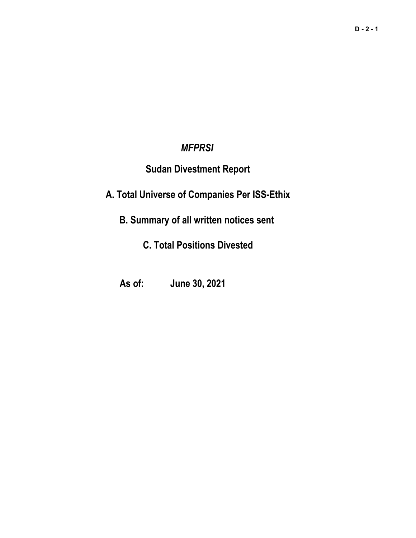# *MFPRSI*

# **Sudan Divestment Report**

**A. Total Universe of Companies Per ISS-Ethix**

**B. Summary of all written notices sent** 

**C. Total Positions Divested**

**As of: June 30, 2021**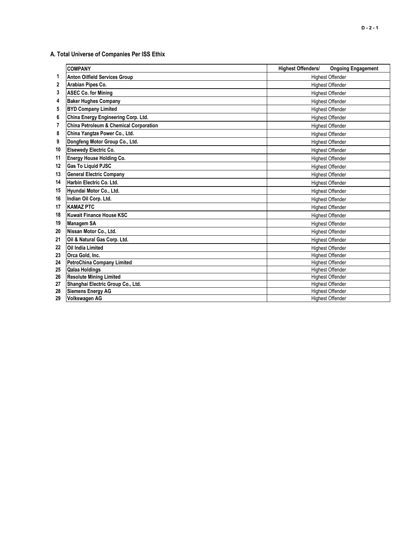# **A. Total Universe of Companies Per ISS Ethix**

|    | <b>COMPANY</b>                                    | <b>Highest Offenders/</b><br><b>Ongoing Engagement</b> |
|----|---------------------------------------------------|--------------------------------------------------------|
| 1  | <b>Anton Oilfield Services Group</b>              | <b>Highest Offender</b>                                |
| 2  | Arabian Pipes Co.                                 | <b>Highest Offender</b>                                |
| 3  | <b>ASEC Co. for Mining</b>                        | <b>Highest Offender</b>                                |
| 4  | <b>Baker Hughes Company</b>                       | <b>Highest Offender</b>                                |
| 5  | <b>BYD Company Limited</b>                        | <b>Highest Offender</b>                                |
| 6  | China Energy Engineering Corp. Ltd.               | <b>Highest Offender</b>                                |
| 7  | <b>China Petroleum &amp; Chemical Corporation</b> | <b>Highest Offender</b>                                |
| 8  | China Yangtze Power Co., Ltd.                     | <b>Highest Offender</b>                                |
| 9  | Dongfeng Motor Group Co., Ltd.                    | <b>Highest Offender</b>                                |
| 10 | <b>Elsewedy Electric Co.</b>                      | <b>Highest Offender</b>                                |
| 11 | Energy House Holding Co.                          | <b>Highest Offender</b>                                |
| 12 | Gas To Liquid PJSC                                | <b>Highest Offender</b>                                |
| 13 | <b>General Electric Company</b>                   | <b>Highest Offender</b>                                |
| 14 | Harbin Electric Co. Ltd.                          | <b>Highest Offender</b>                                |
| 15 | Hyundai Motor Co., Ltd.                           | <b>Highest Offender</b>                                |
| 16 | Indian Oil Corp. Ltd.                             | <b>Highest Offender</b>                                |
| 17 | <b>KAMAZ PTC</b>                                  | <b>Highest Offender</b>                                |
| 18 | <b>Kuwait Finance House KSC</b>                   | <b>Highest Offender</b>                                |
| 19 | <b>Managem SA</b>                                 | <b>Highest Offender</b>                                |
| 20 | Nissan Motor Co., Ltd.                            | <b>Highest Offender</b>                                |
| 21 | Oil & Natural Gas Corp. Ltd.                      | <b>Highest Offender</b>                                |
| 22 | <b>Oil India Limited</b>                          | <b>Highest Offender</b>                                |
| 23 | Orca Gold, Inc.                                   | <b>Highest Offender</b>                                |
| 24 | <b>PetroChina Company Limited</b>                 | <b>Highest Offender</b>                                |
| 25 | <b>Qalaa Holdings</b>                             | <b>Highest Offender</b>                                |
| 26 | <b>Resolute Mining Limited</b>                    | <b>Highest Offender</b>                                |
| 27 | Shanghai Electric Group Co., Ltd.                 | <b>Highest Offender</b>                                |
| 28 | <b>Siemens Energy AG</b>                          | <b>Highest Offender</b>                                |
| 29 | <b>Volkswagen AG</b>                              | <b>Highest Offender</b>                                |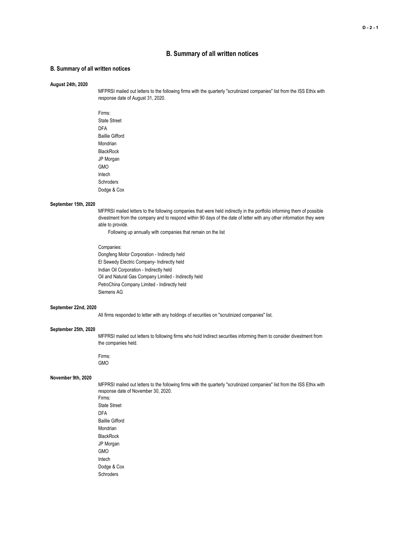## **B. Summary of all written notices**

### **B. Summary of all written notices**

#### **August 24th, 2020**

MFPRSI mailed out letters to the following firms with the quarterly "scrutinized companies" list from the ISS Ethix with response date of August 31, 2020.

Firms: State Street DFA Baillie Gifford Mondrian **BlackRock** JP Morgan GMO Intech **Schroders** Dodge & Cox

#### **September 15th, 2020**

MFPRSI mailed letters to the following companies that were held indirectly in the portfolio informing them of possible divestment from the company and to respond within 90 days of the date of letter with any other information they were able to provide.

Following up annually with companies that remain on the list

#### Companies:

Dongfeng Motor Corporation - Indirectly held El Sewedy Electric Company- Indirectly held Indian Oil Corporation - Indirectly held Oil and Natural Gas Company Limited - Indirectly held PetroChina Company Limited - Indirectly held Siemens AG

### **September 22nd, 2020**

All firms responded to letter with any holdings of securities on "scrutinized companies" list.

#### **September 25th, 2020**

MFPRSI mailed out letters to following firms who hold Indirect securities informing them to consider divestment from the companies held.

Firms: GMO

### **November 9th, 2020**

MFPRSI mailed out letters to the following firms with the quarterly "scrutinized companies" list from the ISS Ethix with response date of November 30, 2020. Firms: State Street DFA Baillie Gifford Mondrian **BlackRock** JP Morgan GMO Intech Dodge & Cox **Schroders**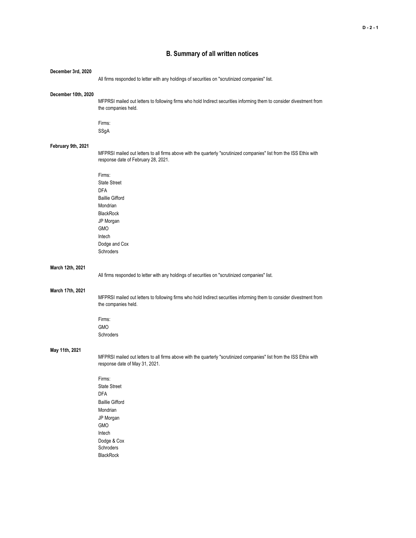# **B. Summary of all written notices**

| December 3rd, 2020  |                                                                                                                                                                                         |
|---------------------|-----------------------------------------------------------------------------------------------------------------------------------------------------------------------------------------|
|                     | All firms responded to letter with any holdings of securities on "scrutinized companies" list.                                                                                          |
| December 10th, 2020 | MFPRSI mailed out letters to following firms who hold Indirect securities informing them to consider divestment from<br>the companies held.                                             |
|                     | Firms:<br>SSgA                                                                                                                                                                          |
| February 9th, 2021  | MFPRSI mailed out letters to all firms above with the quarterly "scrutinized companies" list from the ISS Ethix with<br>response date of February 28, 2021.                             |
|                     | Firms:<br><b>State Street</b><br><b>DFA</b><br><b>Baillie Gifford</b><br>Mondrian<br><b>BlackRock</b><br>JP Morgan<br><b>GMO</b><br>Intech<br>Dodge and Cox<br>Schroders                |
| March 12th, 2021    | All firms responded to letter with any holdings of securities on "scrutinized companies" list.                                                                                          |
| March 17th, 2021    | MFPRSI mailed out letters to following firms who hold Indirect securities informing them to consider divestment from<br>the companies held.                                             |
|                     | Firms:<br><b>GMO</b><br>Schroders                                                                                                                                                       |
| May 11th, 2021      | MFPRSI mailed out letters to all firms above with the quarterly "scrutinized companies" list from the ISS Ethix with<br>response date of May 31, 2021.<br>Firms:<br><b>State Street</b> |
|                     | <b>DFA</b><br><b>Baillie Gifford</b><br>Mondrian<br>JP Morgan<br><b>GMO</b><br>Intech<br>Dodge & Cox<br>Schroders<br><b>BlackRock</b>                                                   |